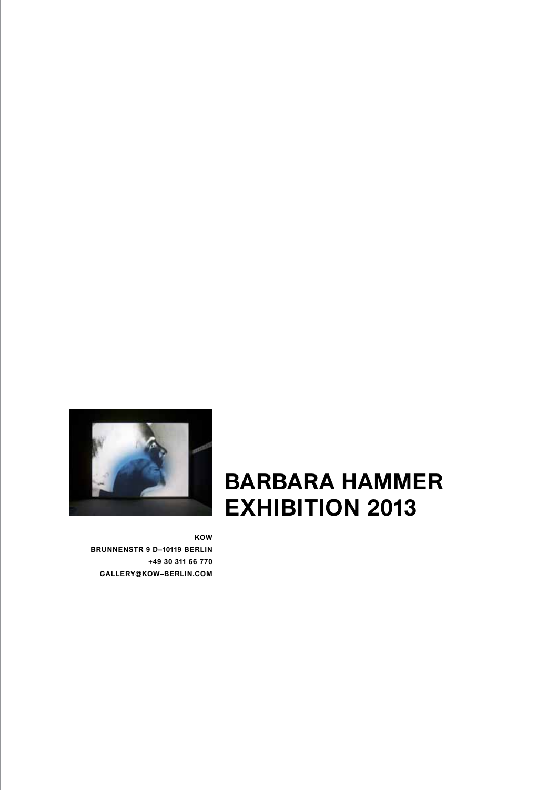

## **BARBARA HAMMER exhibition 2013**

**KOW BRUNNENSTR 9 D–10119 BERLIN +49 30 311 66 770 GALLERY@KOW–BERLIN.COM**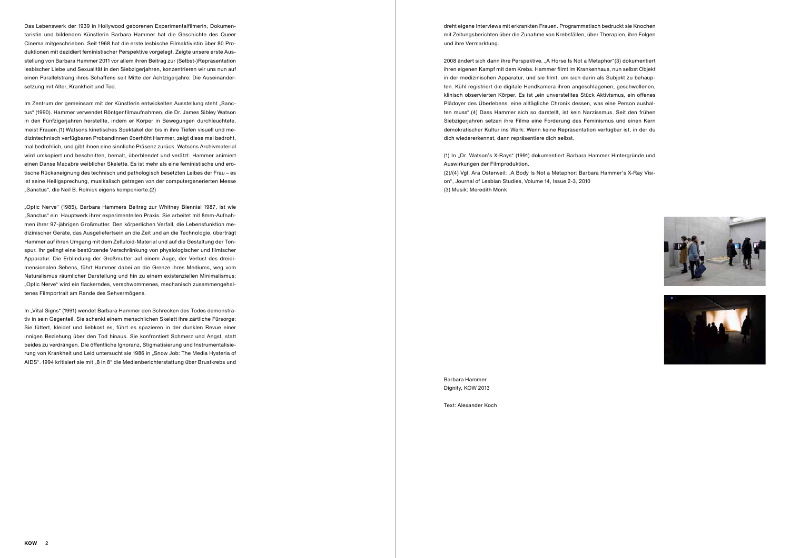

Text: Alexander Koch

dreht eigene Interviews mit erkrankten Frauen. Programmatisch bedruckt sie Knochen mit Zeitungsberichten über die Zunahme von Krebsfällen, über Therapien, ihre Folgen und ihre Vermarktung.

2008 ändert sich dann ihre Perspektive. "A Horse Is Not a Metaphor"(3) dokumentiert ihren eigenen Kampf mit dem Krebs. Hammer filmt im Krankenhaus, nun selbst Objekt in der medizinischen Apparatur, und sie filmt, um sich darin als Subjekt zu behaupten. Kühl registriert die digitale Handkamera ihren angeschlagenen, geschwollenen, klinisch observierten Körper. Es ist "ein unverstelltes Stück Aktivismus, ein offenes Plädoyer des Überlebens, eine alltägliche Chronik dessen, was eine Person aushalten muss".(4) Dass Hammer sich so darstellt, ist kein Narzissmus. Seit den frühen Siebzigerjahren setzen ihre Filme eine Forderung des Feminismus und einen Kern demokratischer Kultur ins Werk: Wenn keine Repräsentation verfügbar ist, in der du dich wiedererkennst, dann repräsentiere dich selbst.

(1) In "Dr. Watson's X-Rays" (1991) dokumentiert Barbara Hammer Hintergründe und Auswirkungen der Filmproduktion.

(2)/(4) Vgl. Ara Osterweil: "A Body Is Not a Metaphor: Barbara Hammer's X-Ray Vision", Journal of Lesbian Studies, Volume 14, Issue 2-3, 2010 (3) Musik: Meredith Monk

Das Lebenswerk der 1939 in Hollywood geborenen Experimentalfilmerin, Dokumentaristin und bildenden Künstlerin Barbara Hammer hat die Geschichte des Queer Cinema mitgeschrieben. Seit 1968 hat die erste lesbische Filmaktivistin über 80 Produktionen mit dezidiert feministischer Perspektive vorgelegt. Zeigte unsere erste Ausstellung von Barbara Hammer 2011 vor allem ihren Beitrag zur (Selbst-)Repräsentation lesbischer Liebe und Sexualität in den Siebzigerjahren, konzentrieren wir uns nun auf einen Parallelstrang ihres Schaffens seit Mitte der Achtzigerjahre: Die Auseinandersetzung mit Alter, Krankheit und Tod.

Im Zentrum der gemeinsam mit der Künstlerin entwickelten Ausstellung steht "Sanctus" (1990). Hammer verwendet Röntgenfilmaufnahmen, die Dr. James Sibley Watson in den Fünfzigerjahren herstellte, indem er Körper in Bewegungen durchleuchtete, meist Frauen.(1) Watsons kinetisches Spektakel der bis in ihre Tiefen visuell und medizintechnisch verfügbaren Probandinnen überhöht Hammer, zeigt diese mal bedroht, mal bedrohlich, und gibt ihnen eine sinnliche Präsenz zurück. Watsons Archivmaterial wird umkopiert und beschnitten, bemalt, überblendet und verätzt. Hammer animiert einen Danse Macabre weiblicher Skelette. Es ist mehr als eine feministische und erotische Rückaneignung des technisch und pathologisch besetzten Leibes der Frau – es ist seine Heiligsprechung, musikalisch getragen von der computergenerierten Messe "Sanctus", die Neil B. Rolnick eigens komponierte.(2)

"Optic Nerve" (1985), Barbara Hammers Beitrag zur Whitney Biennial 1987, ist wie "Sanctus" ein Hauptwerk ihrer experimentellen Praxis. Sie arbeitet mit 8mm-Aufnahmen ihrer 97-jährigen Großmutter. Den körperlichen Verfall, die Lebensfunktion medizinischer Geräte, das Ausgeliefertsein an die Zeit und an die Technologie, überträgt Hammer auf ihren Umgang mit dem Zelluloid-Material und auf die Gestaltung der Tonspur. Ihr gelingt eine bestürzende Verschränkung von physiologischer und filmischer Apparatur. Die Erblindung der Großmutter auf einem Auge, der Verlust des dreidimensionalen Sehens, führt Hammer dabei an die Grenze ihres Mediums, weg vom Naturalismus räumlicher Darstellung und hin zu einem existenziellen Minimalismus: "Optic Nerve" wird ein flackerndes, verschwommenes, mechanisch zusammengehaltenes Filmportrait am Rande des Sehvermögens.

In "Vital Signs" (1991) wendet Barbara Hammer den Schrecken des Todes demonstrativ in sein Gegenteil. Sie schenkt einem menschlichen Skelett ihre zärtliche Fürsorge: Sie füttert, kleidet und liebkost es, führt es spazieren in der dunklen Revue einer innigen Beziehung über den Tod hinaus. Sie konfrontiert Schmerz und Angst, statt beides zu verdrängen. Die öffentliche Ignoranz, Stigmatisierung und Instrumentalisierung von Krankheit und Leid untersucht sie 1986 in "Snow Job: The Media Hysteria of AIDS". 1994 kritisiert sie mit "8 in 8" die Medienberichterstattung über Brustkrebs und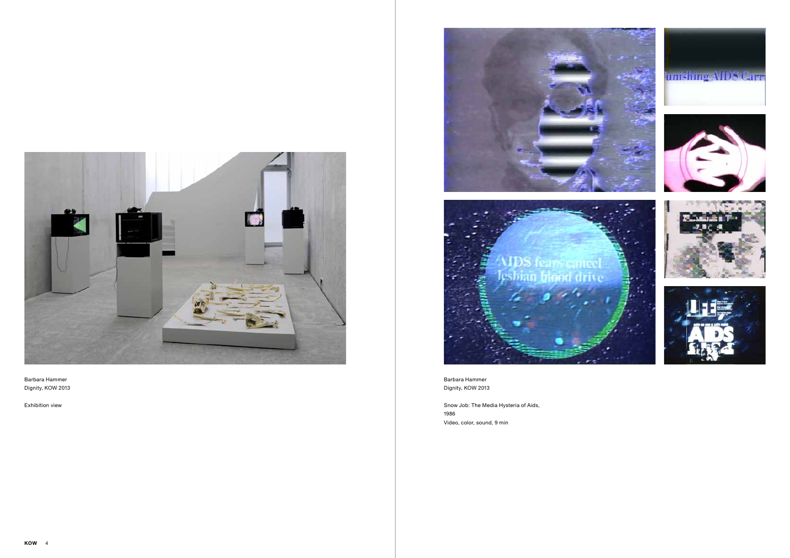







Snow Job: The Media Hysteria of Aids, 1986 Video, color, sound, 9 min



Barbara Hammer Dignity, KOW 2013

Exhibition view

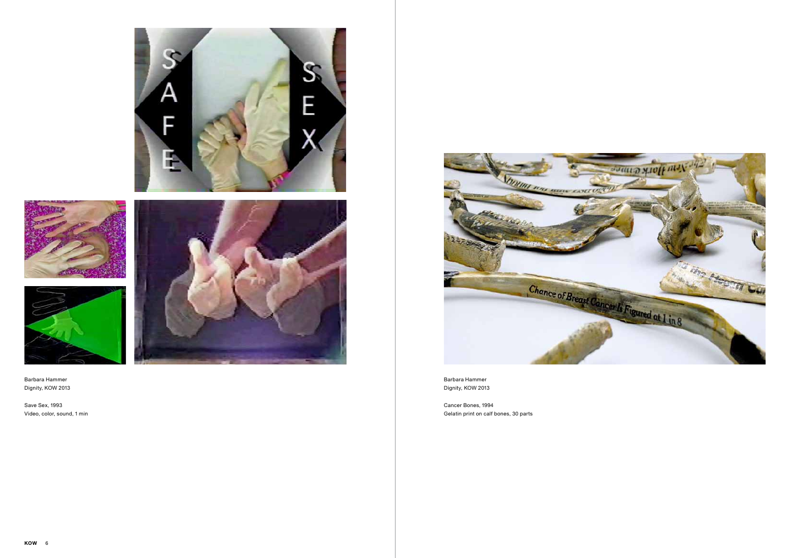





Save Sex, 1993 Video, color, sound, 1 min





Barbara Hammer Dignity, KOW 2013

Cancer Bones, 1994 Gelatin print on calf bones, 30 parts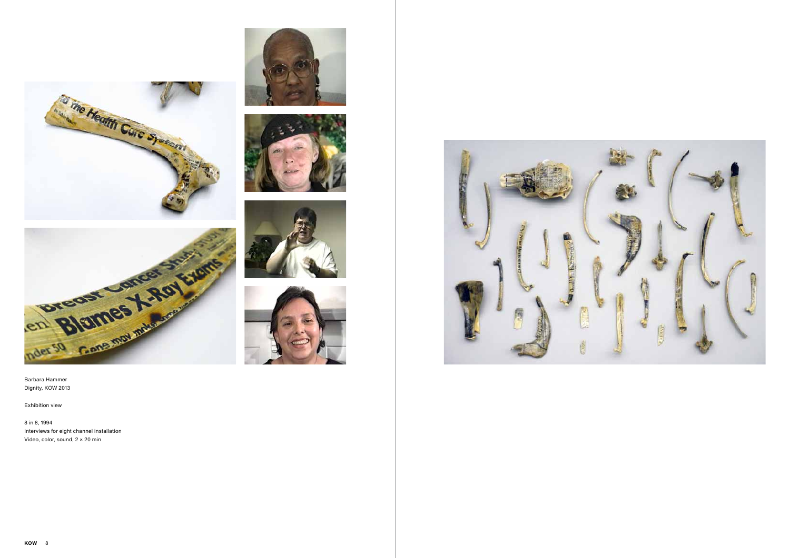









Dignity, KOW 2013

Exhibition view

8 in 8, 1994 Interviews for eight channel installation Video, color, sound, 2 × 20 min



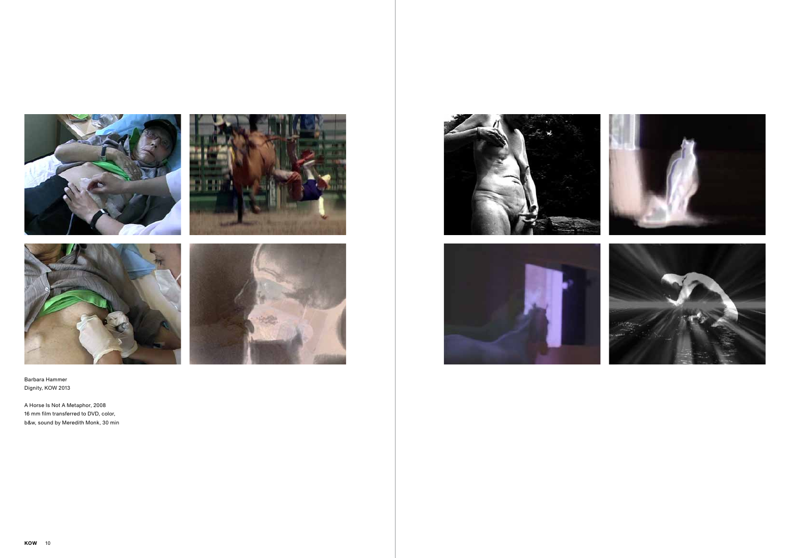









A Horse Is Not A Metaphor, 2008 16 mm film transferred to DVD, color, b&w, sound by Meredith Monk, 30 min



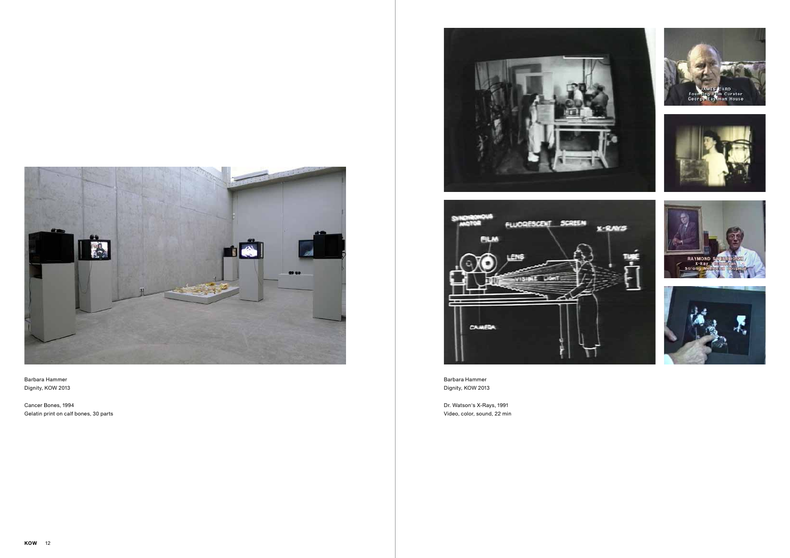







Dr. Watson's X-Rays, 1991 Video, color, sound, 22 min



Barbara Hammer Dignity, KOW 2013

Cancer Bones, 1994 Gelatin print on calf bones, 30 parts



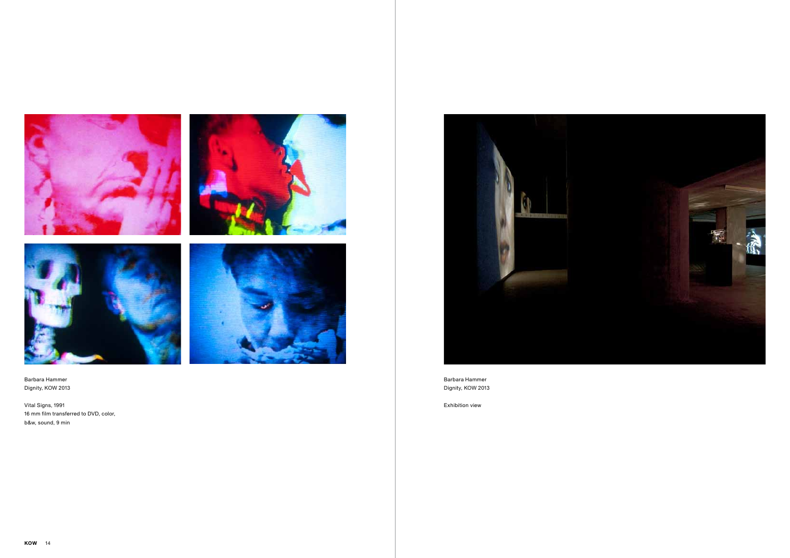







Vital Signs, 1991 16 mm film transferred to DVD, color, b&w, sound, 9 min



Barbara Hammer Dignity, KOW 2013

Exhibition view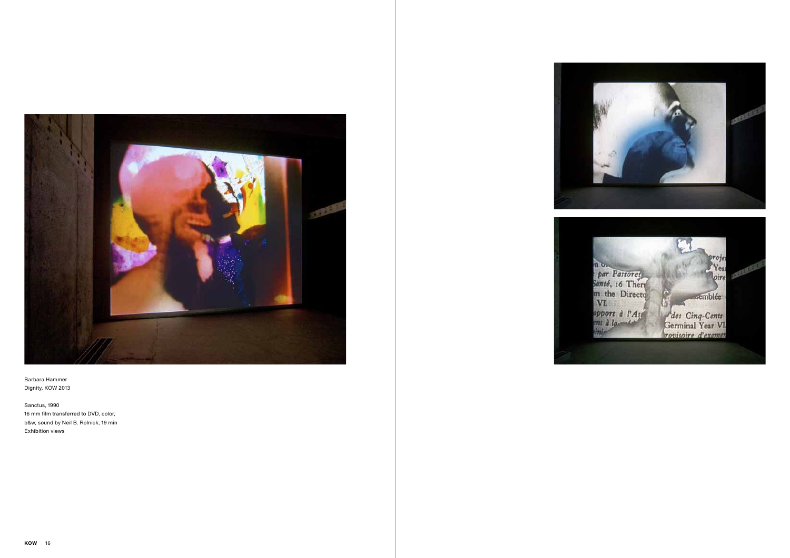



Sanctus, 1990 16 mm film transferred to DVD, color, b&w, sound by Neil B. Rolnick, 19 min Exhibition views

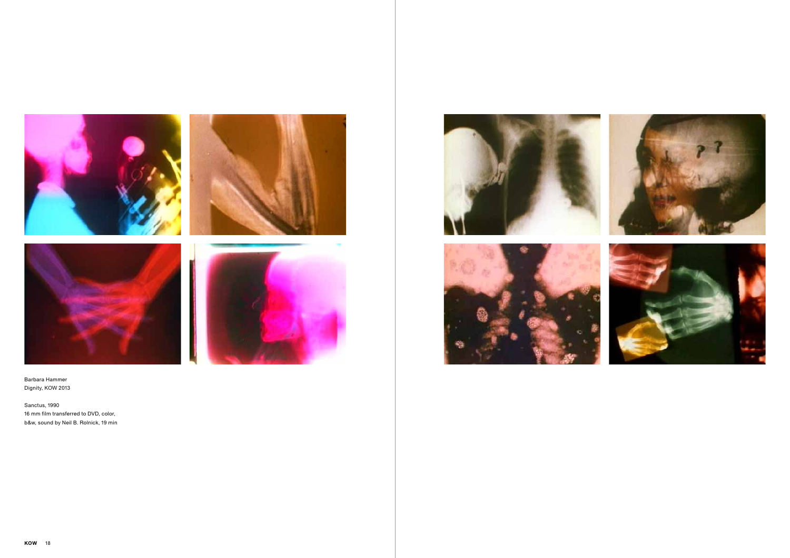



Sanctus, 1990 16 mm film transferred to DVD, color, b&w, sound by Neil B. Rolnick, 19 min



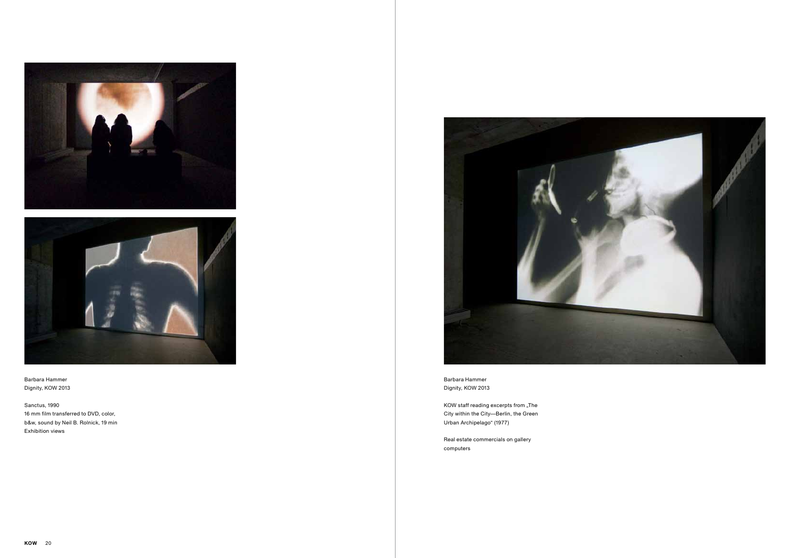



Sanctus, 1990 16 mm film transferred to DVD, color, b&w, sound by Neil B. Rolnick, 19 min Exhibition views



KOW staff reading excerpts from "The City within the City—Berlin, the Green Urban Archipelago" (1977)

Barbara Hammer Dignity, KOW 2013

Real estate commercials on gallery computers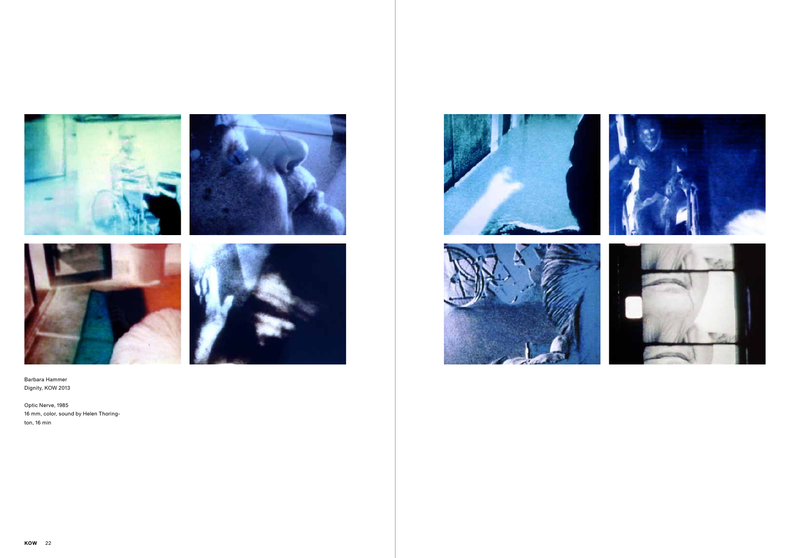







Optic Nerve, 1985 16 mm, color, sound by Helen Thorington, 16 min